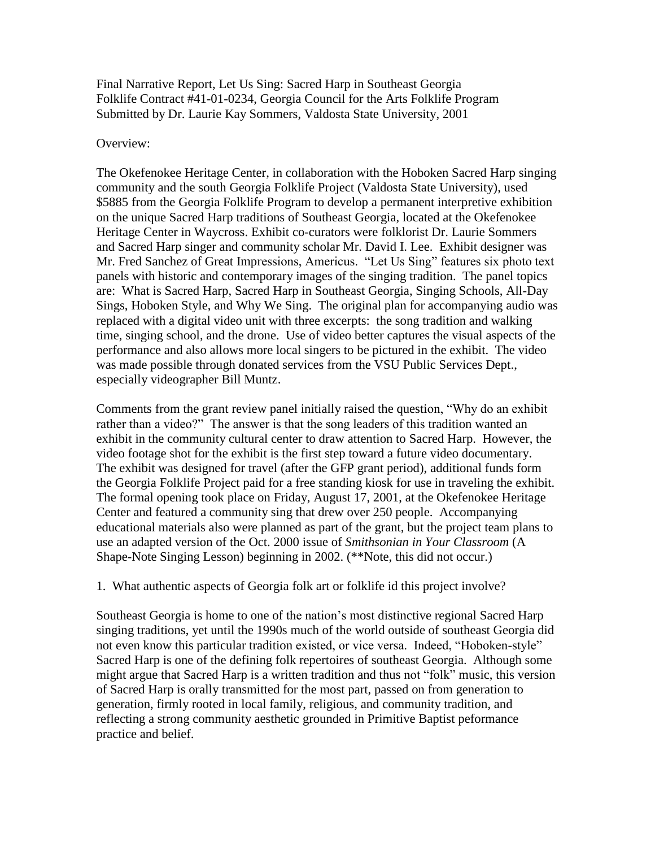Final Narrative Report, Let Us Sing: Sacred Harp in Southeast Georgia Folklife Contract #41-01-0234, Georgia Council for the Arts Folklife Program Submitted by Dr. Laurie Kay Sommers, Valdosta State University, 2001

## Overview:

The Okefenokee Heritage Center, in collaboration with the Hoboken Sacred Harp singing community and the south Georgia Folklife Project (Valdosta State University), used \$5885 from the Georgia Folklife Program to develop a permanent interpretive exhibition on the unique Sacred Harp traditions of Southeast Georgia, located at the Okefenokee Heritage Center in Waycross. Exhibit co-curators were folklorist Dr. Laurie Sommers and Sacred Harp singer and community scholar Mr. David I. Lee. Exhibit designer was Mr. Fred Sanchez of Great Impressions, Americus. "Let Us Sing" features six photo text panels with historic and contemporary images of the singing tradition. The panel topics are: What is Sacred Harp, Sacred Harp in Southeast Georgia, Singing Schools, All-Day Sings, Hoboken Style, and Why We Sing. The original plan for accompanying audio was replaced with a digital video unit with three excerpts: the song tradition and walking time, singing school, and the drone. Use of video better captures the visual aspects of the performance and also allows more local singers to be pictured in the exhibit. The video was made possible through donated services from the VSU Public Services Dept., especially videographer Bill Muntz.

Comments from the grant review panel initially raised the question, "Why do an exhibit rather than a video?" The answer is that the song leaders of this tradition wanted an exhibit in the community cultural center to draw attention to Sacred Harp. However, the video footage shot for the exhibit is the first step toward a future video documentary. The exhibit was designed for travel (after the GFP grant period), additional funds form the Georgia Folklife Project paid for a free standing kiosk for use in traveling the exhibit. The formal opening took place on Friday, August 17, 2001, at the Okefenokee Heritage Center and featured a community sing that drew over 250 people. Accompanying educational materials also were planned as part of the grant, but the project team plans to use an adapted version of the Oct. 2000 issue of *Smithsonian in Your Classroom* (A Shape-Note Singing Lesson) beginning in 2002. (\*\*Note, this did not occur.)

## 1. What authentic aspects of Georgia folk art or folklife id this project involve?

Southeast Georgia is home to one of the nation's most distinctive regional Sacred Harp singing traditions, yet until the 1990s much of the world outside of southeast Georgia did not even know this particular tradition existed, or vice versa. Indeed, "Hoboken-style" Sacred Harp is one of the defining folk repertoires of southeast Georgia. Although some might argue that Sacred Harp is a written tradition and thus not "folk" music, this version of Sacred Harp is orally transmitted for the most part, passed on from generation to generation, firmly rooted in local family, religious, and community tradition, and reflecting a strong community aesthetic grounded in Primitive Baptist peformance practice and belief.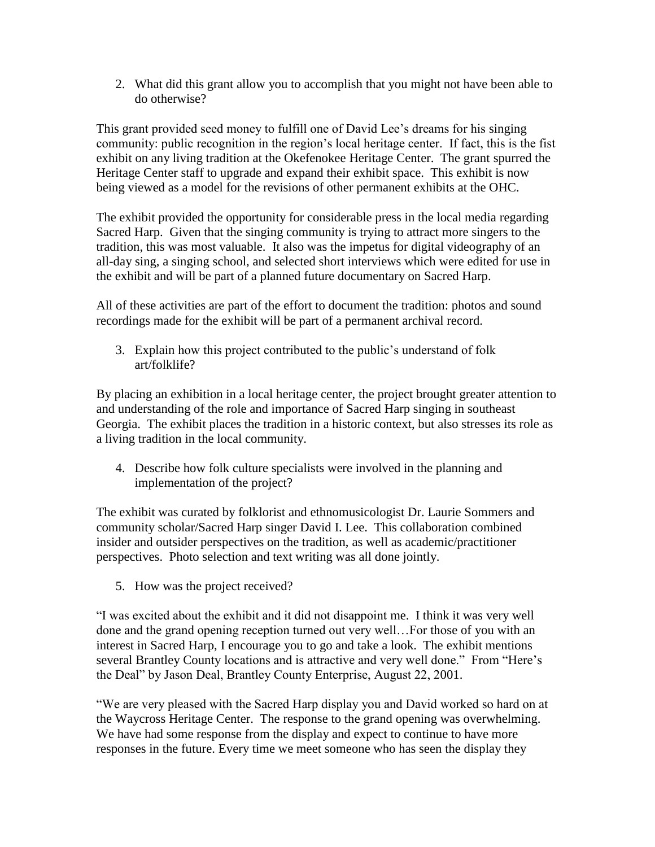2. What did this grant allow you to accomplish that you might not have been able to do otherwise?

This grant provided seed money to fulfill one of David Lee's dreams for his singing community: public recognition in the region's local heritage center. If fact, this is the fist exhibit on any living tradition at the Okefenokee Heritage Center. The grant spurred the Heritage Center staff to upgrade and expand their exhibit space. This exhibit is now being viewed as a model for the revisions of other permanent exhibits at the OHC.

The exhibit provided the opportunity for considerable press in the local media regarding Sacred Harp. Given that the singing community is trying to attract more singers to the tradition, this was most valuable. It also was the impetus for digital videography of an all-day sing, a singing school, and selected short interviews which were edited for use in the exhibit and will be part of a planned future documentary on Sacred Harp.

All of these activities are part of the effort to document the tradition: photos and sound recordings made for the exhibit will be part of a permanent archival record.

3. Explain how this project contributed to the public's understand of folk art/folklife?

By placing an exhibition in a local heritage center, the project brought greater attention to and understanding of the role and importance of Sacred Harp singing in southeast Georgia. The exhibit places the tradition in a historic context, but also stresses its role as a living tradition in the local community.

4. Describe how folk culture specialists were involved in the planning and implementation of the project?

The exhibit was curated by folklorist and ethnomusicologist Dr. Laurie Sommers and community scholar/Sacred Harp singer David I. Lee. This collaboration combined insider and outsider perspectives on the tradition, as well as academic/practitioner perspectives. Photo selection and text writing was all done jointly.

5. How was the project received?

"I was excited about the exhibit and it did not disappoint me. I think it was very well done and the grand opening reception turned out very well…For those of you with an interest in Sacred Harp, I encourage you to go and take a look. The exhibit mentions several Brantley County locations and is attractive and very well done." From "Here's the Deal" by Jason Deal, Brantley County Enterprise, August 22, 2001.

"We are very pleased with the Sacred Harp display you and David worked so hard on at the Waycross Heritage Center. The response to the grand opening was overwhelming. We have had some response from the display and expect to continue to have more responses in the future. Every time we meet someone who has seen the display they